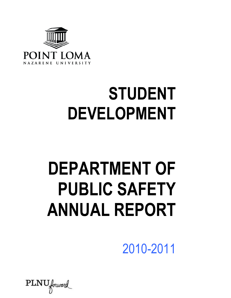

# **STUDENT DEVELOPMENT**

# **DEPARTMENT OF PUBLIC SAFETY ANNUAL REPORT**

2010-2011

 $\text{PLNU}_{forward}$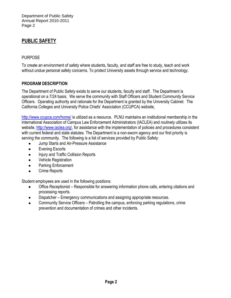# **PUBLIC SAFETY**

#### PURPOSE

To create an environment of safety where students, faculty, and staff are free to study, teach and work without undue personal safety concerns. To protect University assets through service and technology.

#### **PROGRAM DESCRIPTION**

The Department of Public Safety exists to serve our students, faculty and staff. The Department is operational on a 7/24 basis. We serve the community with Staff Officers and Student Community Service Officers. Operating authority and rationale for the Department is granted by the University Cabinet. The California Colleges and University Police Chiefs' Association (CCUPCA) website,

<http://www.ccupca.com/home/> is utilized as a resource. PLNU maintains an institutional membership in the International Association of Campus Law Enforcement Administrators (IACLEA) and routinely utilizes its website, [http://www.iaclea.org/,](http://www.iaclea.org/) for assistance with the implementation of policies and procedures consistent with current federal and state statutes. The Department is a non-sworn agency and our first priority is serving the community. The following is a list of services provided by Public Safety:

- Jump Starts and Air-Pressure Assistance
- Evening Escorts  $\bullet$
- Injury and Traffic Collision Reports  $\bullet$
- Vehicle Registration
- Parking Enforcement  $\bullet$
- Crime Reports

Student employees are used in the following positions:

- Office Receptionist Responsible for answering information phone calls, entering citations and processing reports.
- Dispatcher Emergency communications and assigning appropriate resources.
- Community Service Officers Patrolling the campus, enforcing parking regulations, crime prevention and documentation of crimes and other incidents.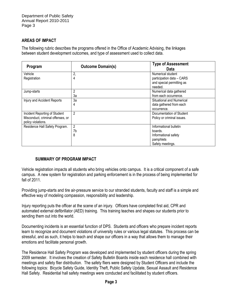### **AREAS OF IMPACT**

The following rubric describes the programs offered in the Office of Academic Advising, the linkages between student development outcomes, and type of assessment used to collect data.

| Program                                                                                  | <b>Outcome Domain(s)</b> | <b>Type of Assessment</b><br>Data                                                          |  |  |
|------------------------------------------------------------------------------------------|--------------------------|--------------------------------------------------------------------------------------------|--|--|
| Vehicle<br>Registration                                                                  | 2,<br>4                  | Numerical student<br>participation data - CARS                                             |  |  |
|                                                                                          |                          | and special permitting as<br>needed.                                                       |  |  |
| Jump-starts                                                                              | $\overline{2}$<br>Зa     | Numerical data gathered<br>from each occurrence.                                           |  |  |
| Injury and Accident Reports                                                              | За<br>4                  | Situational and Numerical<br>data gathered from each<br>occurrence.                        |  |  |
| Incident Reporting of Student<br>Misconduct, criminal offenses, or<br>policy violations. | $\overline{2}$           | Documentation of Student<br>Policy or criminal issues.                                     |  |  |
| Residence Hall Safety Program.                                                           | 2<br>7b<br>8             | Informational bulletin<br>boards.<br>Informational safety<br>pamphlets<br>Safety meetings. |  |  |

#### **SUMMARY OF PROGRAM IMPACT**

Vehicle registration impacts all students who bring vehicles onto campus. It is a critical component of a safe campus. A new system for registration and parking enforcement is in the process of being implemented for fall of 2011.

Providing jump-starts and tire air-pressure service to our stranded students, faculty and staff is a simple and effective way of modeling compassion, responsibility and leadership.

Injury reporting puts the officer at the scene of an injury. Officers have completed first aid, CPR and automated external defibrillator (AED) training. This training teaches and shapes our students prior to sending them out into the world.

Documenting incidents is an essential function of DPS. Students and officers who prepare incident reports learn to recognize and document violations of university rules or various legal statutes. This process can be stressful, and as such, it helps to teach and shape our officers in a way that allows them to manage their emotions and facilitate personal growth.

The Residence Hall Safety Program was developed and implemented by student officers during the spring 2009 semester. It involves the creation of Safety Bulletin Boards inside each residence hall combined with meetings and safety flier distribution. The safety fliers were designed by Student Officers and include the following topics: Bicycle Safety Guide, Identity Theft, Public Safety Update, Sexual Assault and Residence Hall Safety. Residential hall safety meetings were conducted and facilitated by student officers.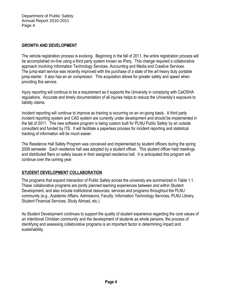#### **GROWTH AND DEVELOPMENT**

The vehicle registration process is evolving. Beginning in the fall of 2011, the entire registration process will be accomplished on-line using a third party system known as iParq. This change required a collaborative approach involving Information Technology Services, Accounting and Media and Creative Services. The jump-start service was recently improved with the purchase of a state of the art heavy duty portable jump-starter. It also has an air compressor. This acquisition allows for greater safety and speed when providing this service.

Injury reporting will continue to be a requirement as it supports the University in complying with CalOSHA regulations. Accurate and timely documentation of all injuries helps to reduce the University's exposure to liability claims.

Incident reporting will continue to improve as training is occurring on an on-going basis. A third party incident reporting system and CAD system are currently under development and should be implemented in the fall of 2011. This new software program is being custom built for PLNU Public Safety by an outside consultant and funded by ITS. It will facilitate a paperless process for incident reporting and statistical tracking of information will be much easier.

The Residence Hall Safety Program was conceived and implemented by student officers during the spring 2009 semester. Each residence hall was adopted by a student officer. This student officer held meetings and distributed fliers on safety issues in their assigned residence hall. It is anticipated this program will continue over the coming year.

# **STUDENT DEVELOPMENT COLLABORATION**

The programs that expand interaction of Public Safety across the university are summarized in Table 1.1. These collaborative programs are jointly planned learning experiences between and within Student Development, and also include institutional resources, services and programs throughout the PLNU community (e.g., Academic Affairs, Admissions, Faculty, Information Technology Services, PLNU Library, Student Financial Services, Study Abroad, etc.).

As Student Development continues to support the quality of student experience regarding the core values of an intentional Christian community and the development of students as whole persons, the process of identifying and assessing collaborative programs is an important factor in determining impact and sustainability.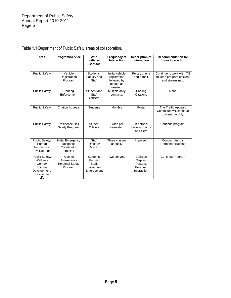| Area                                                                                      | <b>Program/Service</b>                                      | Who<br><b>Initiates</b><br>Contact                          | <b>Frequency of</b><br><b>Interaction</b>                              | <b>Description of</b><br>Interaction                         | <b>Recommendation for</b><br>future interaction                            |
|-------------------------------------------------------------------------------------------|-------------------------------------------------------------|-------------------------------------------------------------|------------------------------------------------------------------------|--------------------------------------------------------------|----------------------------------------------------------------------------|
| <b>Public Safety</b>                                                                      | Vehicle<br>Registration<br>Program                          | Students,<br>Faculty and<br>Staff                           | Initial vehicle<br>registration<br>followed by<br>update as<br>needed. | Portal, phone<br>and e-mail.                                 | Continue to work with ITS<br>to keep program efficient<br>and streamlined. |
| <b>Public Safety</b>                                                                      | Parking<br>Enforcement                                      | Student and<br>Staff<br><b>Officers</b>                     | Multiple daily<br>contacts.                                            | Parking<br>Citations                                         | None                                                                       |
| <b>Public Safety</b>                                                                      | <b>Citation Appeals</b>                                     | <b>Students</b>                                             | Monthly                                                                | Portal                                                       | The Traffic Appeals<br>Committee will continue<br>to meet monthly.         |
| <b>Public Safety</b>                                                                      | Residence Hall<br>Safety Program.                           | Student<br><b>Officers</b>                                  | Twice per<br>semester.                                                 | In person,<br>bulletin boards<br>and fliers                  | Continue program.                                                          |
| Public Safety/<br><b>Human</b><br>Resources/<br><b>Physical Plant</b>                     | Initial Emergency<br>Response<br>Coordinator<br>Training    | Staff<br>Officers/<br>Director                              | Three classes<br>annually                                              | In person                                                    | <b>Conduct Annual</b><br><b>Refresher Training</b>                         |
| Public Safety/<br>Wellness<br>Center/<br>Spiritual<br>Development/<br>Residential<br>Life | Alcohol<br>Awareness /<br><b>Personal Safety</b><br>Program | Students,<br>Faculty,<br>Staff.<br>Local Law<br>Enforcement | Two per year                                                           | Collision<br>Display,<br>Posters,<br>Personal<br>Interaction | Continue Program                                                           |

# Table 1.1 Department of Public Safety areas of collaboration.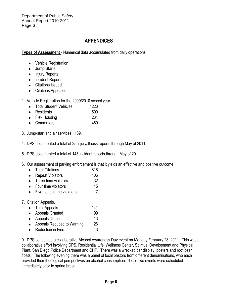# **APPENDICES**

**Types of Assessment** - Numerical data accumulated from daily operations.

- Vehicle Registration
- Jump-Starts  $\bullet$
- Injury Reports
- Incident Reports
- Citations Issued
- Citations Appealed
- 1. Vehicle Registration for the 2009/2010 school year:
	- Total Student Vehicles 1223
	- Residents 500
	- Flex Housing 234
	- Commuters 489
- 3. Jump-start and air services: 189.
- 4. DPS documented a total of 35 injury/illness reports through May of 2011.
- 5. DPS documented a total of 145 incident reports through May of 2011.
- 6. Our assessment of parking enforcement is that it yields an effective and positive outcome.
	- Total Citations 818
	- Repeat Violators 106
	- Three time violators 32
	- Four time violators 15
	- Five to ten time violators 7
- 7. Citation Appeals.
	- Total Appeals 141
	- Appeals Granted 99
	- Appeals Denied 13
	- Appeals Reduced to Warning 26
	- Reduction in Fine 3

9. DPS conducted a collaborative Alcohol Awareness Day event on Monday February 28, 2011. This was a collaborative effort involving DPS, Residential Life, Wellness Center, Spiritual Development and Physical Plant, San Diego Police Department and CHP. There was a wrecked car display, posters and root beer floats. The following evening there was a panel of local pastors from different denominations, who each provided their theological perspectives on alcohol consumption. These two events were scheduled immediately prior to spring break.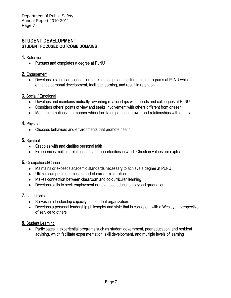# **STUDENT DEVELOPMENT STUDENT FOCUSED OUTCOME DOMAINS**

#### **1.** Retention

• Pursues and completes a degree at PLNU

### **2.** Engagement

Develops a significant connection to relationships and participates in programs at PLNU which enhance personal development, facilitate learning, and result in retention

#### **3.** Social / Emotional

- Develops and maintains mutually rewarding relationships with friends and colleagues at PLNU
- Considers others' points of view and seeks involvement with others different from oneself
- Manages emotions in a manner which facilitates personal growth and relationships with others

#### **4.** Physical

• Chooses behaviors and environments that promote health

# **5.** Spiritual

- Grapples with and clarifies personal faith
- Experiences multiple relationships and opportunities in which Christian values are explicit

# **6.** Occupational/Career

- Maintains or exceeds academic standards necessary to achieve a degree at PLNU
- Utilizes campus resources as part of career exploration
- Makes connection between classroom and co-curricular learning
- Develops skills to seek employment or advanced education beyond graduation

# **7.** Leadership

- Serves in a leadership capacity in a student organization
- Develops a personal leadership philosophy and style that is consistent with a Wesleyan perspective of service to others

# **8.** Student Learning

Participates in experiential programs such as student government, peer education, and resident  $\bullet$ advising, which facilitate experimentation, skill development, and multiple levels of learning